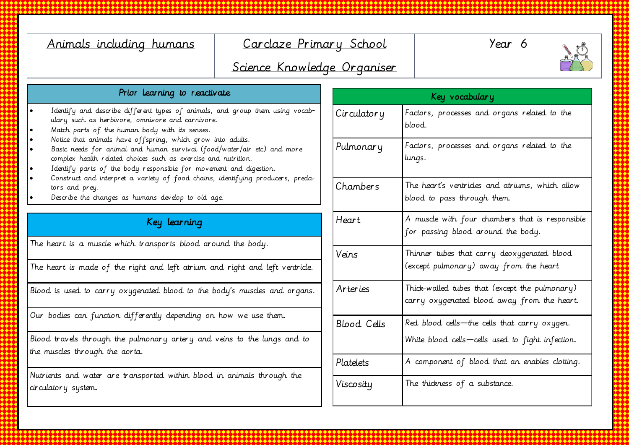| Animals including humans                                                                                                                                                                                                                                                                                                                                                                                                                                                                                                                                                                                                         | Carclaze Primary School<br>Science Knowledge Organiser |                    | Year 6                                                                                        |
|----------------------------------------------------------------------------------------------------------------------------------------------------------------------------------------------------------------------------------------------------------------------------------------------------------------------------------------------------------------------------------------------------------------------------------------------------------------------------------------------------------------------------------------------------------------------------------------------------------------------------------|--------------------------------------------------------|--------------------|-----------------------------------------------------------------------------------------------|
| Prior learning to reactivate                                                                                                                                                                                                                                                                                                                                                                                                                                                                                                                                                                                                     |                                                        | Key vocabulary     |                                                                                               |
| Identify and describe different types of animals, and group them using vocab-<br>ulary such as herbivore, omnivore and carnivore.<br>Match parts of the human body with its senses.<br>Notice that animals have offspring, which grow into adults.<br>Basic needs for animal and human survival (food/water/air etc) and more<br>complex health related choices such as exercise and nutrition.<br>Identify parts of the body responsible for movement and digestion.<br>Construct and interpret a variety of food chains, identifying producers, preda-<br>tors and prey.<br>Describe the changes as humans develop to old age. |                                                        | Circulatory        | Factors, processes and organs related to the<br>blood.                                        |
|                                                                                                                                                                                                                                                                                                                                                                                                                                                                                                                                                                                                                                  |                                                        | Pulmonary          | Factors, processes and organs related to the<br>lungs.                                        |
|                                                                                                                                                                                                                                                                                                                                                                                                                                                                                                                                                                                                                                  |                                                        | Chambers           | The heart's ventricles and atriums, which allow<br>blood to pass through them.                |
| Key learning                                                                                                                                                                                                                                                                                                                                                                                                                                                                                                                                                                                                                     |                                                        | Heart              | A muscle with four chambers that is responsible<br>for passing blood around the body.         |
| The heart is a musde which transports blood around the body.<br>The heart is made of the right and left atrium and right and left ventride.                                                                                                                                                                                                                                                                                                                                                                                                                                                                                      |                                                        | Veins              | Thinner tubes that carry deoxygenated blood<br>(except pulmonary) away from the heart         |
| Blood is used to carry oxygenated blood to the body's muscles and organs.                                                                                                                                                                                                                                                                                                                                                                                                                                                                                                                                                        |                                                        | Arteries           | Thick-walled tubes that (except the pulmonary)<br>carry oxygenated blood away from the heart. |
| Our bodies can function differently depending on how we use them.                                                                                                                                                                                                                                                                                                                                                                                                                                                                                                                                                                |                                                        | <b>Blood</b> Cells | Red blood cells - the cells that carry oxygen.                                                |
| Blood travels through the pulmonary artery and veins to the lungs and to<br>the musdes through the aorta.                                                                                                                                                                                                                                                                                                                                                                                                                                                                                                                        |                                                        |                    | White blood cells-cells used to fight infection.                                              |
|                                                                                                                                                                                                                                                                                                                                                                                                                                                                                                                                                                                                                                  |                                                        | Platelets          | A component of blood that an enables clotting.                                                |
| Nutrients and water are transported within blood in animals through the<br>circulatory system.                                                                                                                                                                                                                                                                                                                                                                                                                                                                                                                                   |                                                        | Viscosity          | The thickness of a substance.                                                                 |